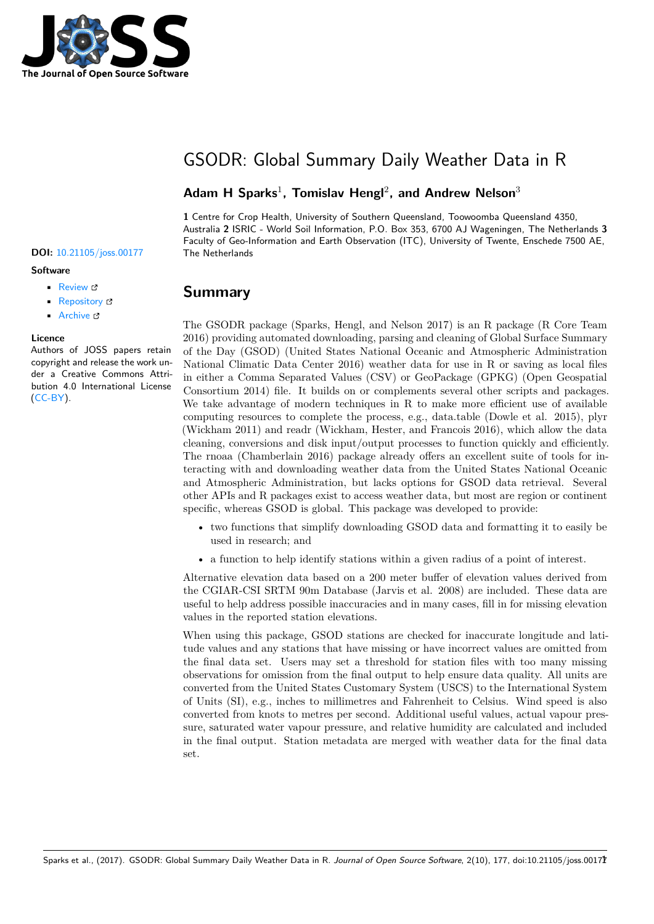

# GSODR: Global Summary Daily Weather Data in R

### **Adam H Sparks**<sup>1</sup> **, Tomislav Hengl**<sup>2</sup> **, and Andrew Nelson**<sup>3</sup>

**1** Centre for Crop Health, University of Southern Queensland, Toowoomba Queensland 4350, Australia **2** ISRIC - World Soil Information, P.O. Box 353, 6700 AJ Wageningen, The Netherlands **3** Faculty of Geo-Information and Earth Observation (ITC), University of Twente, Enschede 7500 AE,

### **Summary**

The GSODR package (Sparks, Hengl, and Nelson 2017) is an R package (R Core Team 2016) providing automated downloading, parsing and cleaning of Global Surface Summary of the Day (GSOD) (United States National Oceanic and Atmospheric Administration National Climatic Data Center 2016) weather data for use in R or saving as local files in either a Comma Separated Values (CSV) or GeoPackage (GPKG) (Open Geospatial Consortium 2014) file. It builds on or complements several other scripts and packages. We take advantage of modern techniques in R to make more efficient use of available computing resources to complete the process, e.g., data.table (Dowle et al. 2015), plyr (Wickham 2011) and readr (Wickham, Hester, and Francois 2016), which allow the data cleaning, conversions and disk input/output processes to function quickly and efficiently. The rnoaa (Chamberlain 2016) package already offers an excellent suite of tools for interacting with and downloading weather data from the United States National Oceanic and Atmospheric Administration, but lacks options for GSOD data retrieval. Several other APIs and R packages exist to access weather data, but most are region or continent specific, whereas GSOD is global. This package was developed to provide:

- two functions that simplify downloading GSOD data and formatting it to easily be used in research; and
- a function to help identify stations within a given radius of a point of interest.

Alternative elevation data based on a 200 meter buffer of elevation values derived from the CGIAR-CSI SRTM 90m Database (Jarvis et al. 2008) are included. These data are useful to help address possible inaccuracies and in many cases, fill in for missing elevation values in the reported station elevations.

When using this package, GSOD stations are checked for inaccurate longitude and latitude values and any stations that have missing or have incorrect values are omitted from the final data set. Users may set a threshold for station files with too many missing observations for omission from the final output to help ensure data quality. All units are converted from the United States Customary System (USCS) to the International System of Units (SI), e.g., inches to millimetres and Fahrenheit to Celsius. Wind speed is also converted from knots to metres per second. Additional useful values, actual vapour pressure, saturated water vapour pressure, and relative humidity are calculated and included in the final output. Station metadata are merged with weather data for the final data set.

#### **DOI:** 10.21105/joss.00177 The Netherlands

#### **Software**

- Review L'
- [Repository](https://doi.org/10.21105/joss.00177) &
- Archive

#### **Licence**

Autho[rs of JOSS](https://github.com/ropensci/GSODR) papers retain copyright and release the work under a [Creativ](http://dx.doi.org/10.5281/zenodo.260229)e Commons Attribution 4.0 International License (CC-BY).

Sparks et al., (2017). GSODR: Global Summary Daily Weather Data in R. *Journal of Open Source Software*, 2(10), 177, doi:10.21105/joss.001771